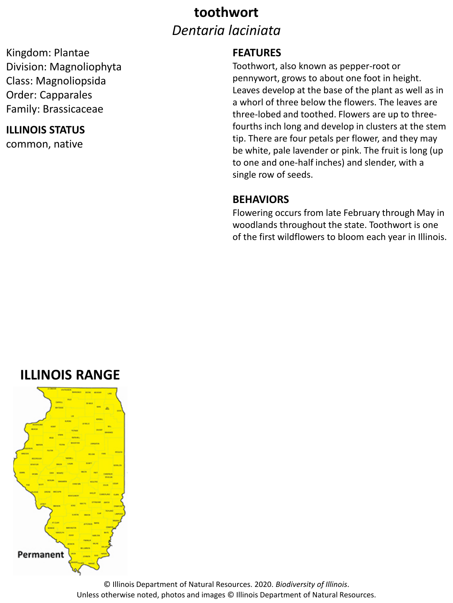## **toothwort** *Dentaria laciniata*

Kingdom: Plantae Division: Magnoliophyta Class: Magnoliopsida Order: Capparales Family: Brassicaceae

### **ILLINOIS STATUS**

common, native

#### **FEATURES**

Toothwort, also known as pepper-root or pennywort, grows to about one foot in height. Leaves develop at the base of the plant as well as in a whorl of three below the flowers. The leaves are three-lobed and toothed. Flowers are up to threefourths inch long and develop in clusters at the stem tip. There are four petals per flower, and they may be white, pale lavender or pink. The fruit is long (up to one and one-half inches) and slender, with a single row of seeds.

#### **BEHAVIORS**

Flowering occurs from late February through May in woodlands throughout the state. Toothwort is one of the first wildflowers to bloom each year in Illinois.

## **ILLINOIS RANGE**



© Illinois Department of Natural Resources. 2020. *Biodiversity of Illinois*. Unless otherwise noted, photos and images © Illinois Department of Natural Resources.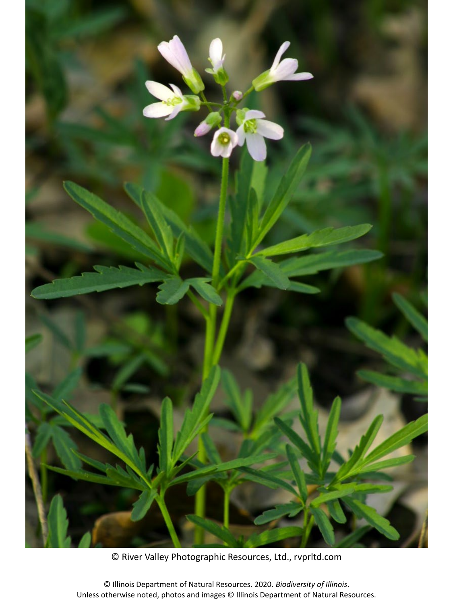

© River Valley Photographic Resources, Ltd., rvprltd.com

© Illinois Department of Natural Resources. 2020. *Biodiversity of Illinois*. Unless otherwise noted, photos and images © Illinois Department of Natural Resources.